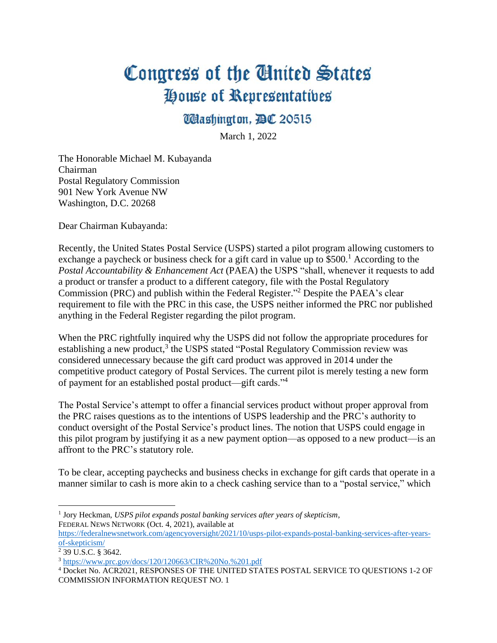## Congress of the Cinited States House of Representatives

## **Washington, BC 20515**

March 1, 2022

The Honorable Michael M. Kubayanda Chairman Postal Regulatory Commission 901 New York Avenue NW Washington, D.C. 20268

Dear Chairman Kubayanda:

Recently, the United States Postal Service (USPS) started a pilot program allowing customers to exchange a paycheck or business check for a gift card in value up to  $$500<sup>1</sup>$  According to the *Postal Accountability & Enhancement Act* (PAEA) the USPS "shall, whenever it requests to add a product or transfer a product to a different category, file with the Postal Regulatory Commission (PRC) and publish within the Federal Register." <sup>2</sup> Despite the PAEA's clear requirement to file with the PRC in this case, the USPS neither informed the PRC nor published anything in the Federal Register regarding the pilot program.

When the PRC rightfully inquired why the USPS did not follow the appropriate procedures for establishing a new product,<sup>3</sup> the USPS stated "Postal Regulatory Commission review was considered unnecessary because the gift card product was approved in 2014 under the competitive product category of Postal Services. The current pilot is merely testing a new form of payment for an established postal product—gift cards."<sup>4</sup>

The Postal Service's attempt to offer a financial services product without proper approval from the PRC raises questions as to the intentions of USPS leadership and the PRC's authority to conduct oversight of the Postal Service's product lines. The notion that USPS could engage in this pilot program by justifying it as a new payment option—as opposed to a new product—is an affront to the PRC's statutory role.

To be clear, accepting paychecks and business checks in exchange for gift cards that operate in a manner similar to cash is more akin to a check cashing service than to a "postal service," which

<sup>&</sup>lt;sup>1</sup> Jory Heckman, *USPS pilot expands postal banking services after years of skepticism*, FEDERAL NEWS NETWORK (Oct. 4, 2021), available at

[https://federalnewsnetwork.com/agencyoversight/2021/10/usps-pilot-expands-postal-banking-services-after-years](https://federalnewsnetwork.com/agencyoversight/2021/10/usps-pilot-expands-postal-banking-services-after-years-of-skepticism/)[of-skepticism/](https://federalnewsnetwork.com/agencyoversight/2021/10/usps-pilot-expands-postal-banking-services-after-years-of-skepticism/)

<sup>2</sup> 39 U.S.C. § 3642.

<sup>3</sup> <https://www.prc.gov/docs/120/120663/CIR%20No.%201.pdf>

<sup>&</sup>lt;sup>4</sup> Docket No. ACR2021, RESPONSES OF THE UNITED STATES POSTAL SERVICE TO QUESTIONS 1-2 OF COMMISSION INFORMATION REQUEST NO. 1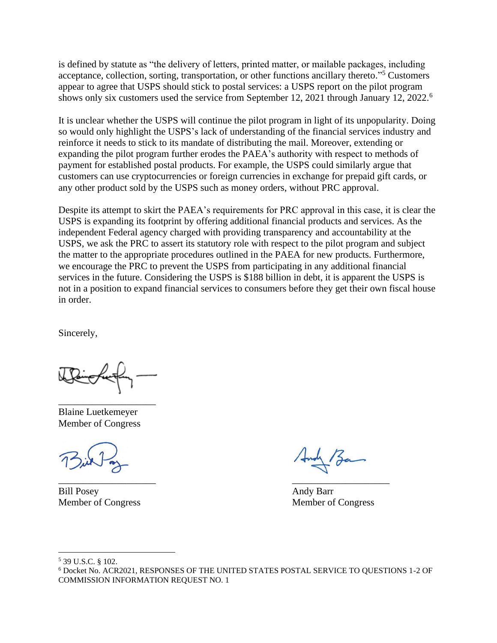is defined by statute as "the delivery of letters, printed matter, or mailable packages, including acceptance, collection, sorting, transportation, or other functions ancillary thereto."<sup>5</sup> Customers appear to agree that USPS should stick to postal services: a USPS report on the pilot program shows only six customers used the service from September 12, 2021 through January 12, 2022.<sup>6</sup>

It is unclear whether the USPS will continue the pilot program in light of its unpopularity. Doing so would only highlight the USPS's lack of understanding of the financial services industry and reinforce it needs to stick to its mandate of distributing the mail. Moreover, extending or expanding the pilot program further erodes the PAEA's authority with respect to methods of payment for established postal products. For example, the USPS could similarly argue that customers can use cryptocurrencies or foreign currencies in exchange for prepaid gift cards, or any other product sold by the USPS such as money orders, without PRC approval.

Despite its attempt to skirt the PAEA's requirements for PRC approval in this case, it is clear the USPS is expanding its footprint by offering additional financial products and services. As the independent Federal agency charged with providing transparency and accountability at the USPS, we ask the PRC to assert its statutory role with respect to the pilot program and subject the matter to the appropriate procedures outlined in the PAEA for new products. Furthermore, we encourage the PRC to prevent the USPS from participating in any additional financial services in the future. Considering the USPS is \$188 billion in debt, it is apparent the USPS is not in a position to expand financial services to consumers before they get their own fiscal house in order.

Sincerely,

\_\_\_\_\_\_\_\_\_\_\_\_\_\_\_\_\_\_\_\_

Blaine Luetkemeyer Member of Congress

Bill Posey Andy Barr

 $\overline{\phantom{a}}$  , and the contract of the contract of the contract of the contract of the contract of the contract of the contract of the contract of the contract of the contract of the contract of the contract of the contrac

Member of Congress Member of Congress

<sup>5</sup> 39 U.S.C. § 102.

<sup>6</sup> Docket No. ACR2021, RESPONSES OF THE UNITED STATES POSTAL SERVICE TO QUESTIONS 1-2 OF COMMISSION INFORMATION REQUEST NO. 1